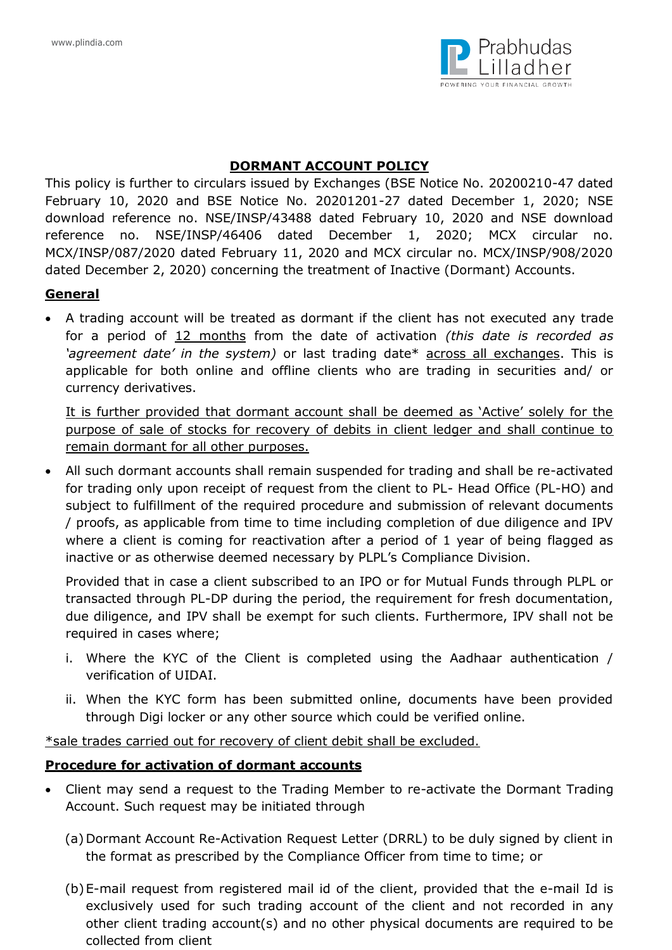

### **DORMANT ACCOUNT POLICY**

This policy is further to circulars issued by Exchanges (BSE Notice No. 20200210-47 dated February 10, 2020 and BSE Notice No. 20201201-27 dated December 1, 2020; NSE download reference no. NSE/INSP/43488 dated February 10, 2020 and NSE download reference no. NSE/INSP/46406 dated December 1, 2020; MCX circular no. MCX/INSP/087/2020 dated February 11, 2020 and MCX circular no. MCX/INSP/908/2020 dated December 2, 2020) concerning the treatment of Inactive (Dormant) Accounts.

## **General**

 A trading account will be treated as dormant if the client has not executed any trade for a period of 12 months from the date of activation *(this date is recorded as 'agreement date' in the system)* or last trading date\* across all exchanges. This is applicable for both online and offline clients who are trading in securities and/ or currency derivatives.

It is further provided that dormant account shall be deemed as 'Active' solely for the purpose of sale of stocks for recovery of debits in client ledger and shall continue to remain dormant for all other purposes.

 All such dormant accounts shall remain suspended for trading and shall be re-activated for trading only upon receipt of request from the client to PL- Head Office (PL-HO) and subject to fulfillment of the required procedure and submission of relevant documents / proofs, as applicable from time to time including completion of due diligence and IPV where a client is coming for reactivation after a period of 1 year of being flagged as inactive or as otherwise deemed necessary by PLPL's Compliance Division.

Provided that in case a client subscribed to an IPO or for Mutual Funds through PLPL or transacted through PL-DP during the period, the requirement for fresh documentation, due diligence, and IPV shall be exempt for such clients. Furthermore, IPV shall not be required in cases where;

- i. Where the KYC of the Client is completed using the Aadhaar authentication / verification of UIDAI.
- ii. When the KYC form has been submitted online, documents have been provided through Digi locker or any other source which could be verified online.

\*sale trades carried out for recovery of client debit shall be excluded.

## **Procedure for activation of dormant accounts**

- Client may send a request to the Trading Member to re-activate the Dormant Trading Account. Such request may be initiated through
	- (a) Dormant Account Re-Activation Request Letter (DRRL) to be duly signed by client in the format as prescribed by the Compliance Officer from time to time; or
	- (b)E-mail request from registered mail id of the client, provided that the e-mail Id is exclusively used for such trading account of the client and not recorded in any other client trading account(s) and no other physical documents are required to be collected from client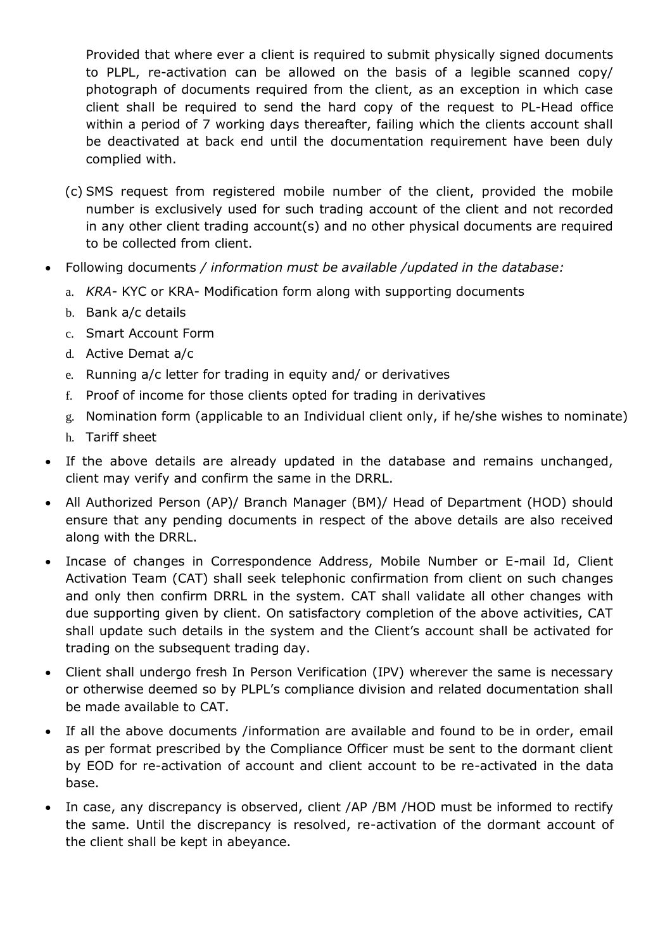Provided that where ever a client is required to submit physically signed documents to PLPL, re-activation can be allowed on the basis of a legible scanned copy/ photograph of documents required from the client, as an exception in which case client shall be required to send the hard copy of the request to PL-Head office within a period of 7 working days thereafter, failing which the clients account shall be deactivated at back end until the documentation requirement have been duly complied with.

- (c) SMS request from registered mobile number of the client, provided the mobile number is exclusively used for such trading account of the client and not recorded in any other client trading account(s) and no other physical documents are required to be collected from client.
- Following documents */ information must be available /updated in the database:*
	- a. *KRA-* KYC or KRA- Modification form along with supporting documents
	- b. Bank a/c details
	- c. Smart Account Form
	- d. Active Demat a/c
	- e. Running a/c letter for trading in equity and/ or derivatives
	- f. Proof of income for those clients opted for trading in derivatives
	- g. Nomination form (applicable to an Individual client only, if he/she wishes to nominate)
	- h. Tariff sheet
- If the above details are already updated in the database and remains unchanged, client may verify and confirm the same in the DRRL.
- All Authorized Person (AP)/ Branch Manager (BM)/ Head of Department (HOD) should ensure that any pending documents in respect of the above details are also received along with the DRRL.
- Incase of changes in Correspondence Address, Mobile Number or E-mail Id, Client Activation Team (CAT) shall seek telephonic confirmation from client on such changes and only then confirm DRRL in the system. CAT shall validate all other changes with due supporting given by client. On satisfactory completion of the above activities, CAT shall update such details in the system and the Client's account shall be activated for trading on the subsequent trading day.
- Client shall undergo fresh In Person Verification (IPV) wherever the same is necessary or otherwise deemed so by PLPL's compliance division and related documentation shall be made available to CAT.
- If all the above documents /information are available and found to be in order, email as per format prescribed by the Compliance Officer must be sent to the dormant client by EOD for re-activation of account and client account to be re-activated in the data base.
- In case, any discrepancy is observed, client /AP /BM /HOD must be informed to rectify the same. Until the discrepancy is resolved, re-activation of the dormant account of the client shall be kept in abeyance.